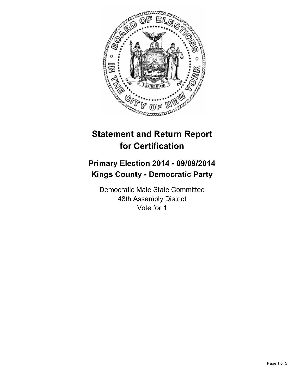

# **Statement and Return Report for Certification**

## **Primary Election 2014 - 09/09/2014 Kings County - Democratic Party**

Democratic Male State Committee 48th Assembly District Vote for 1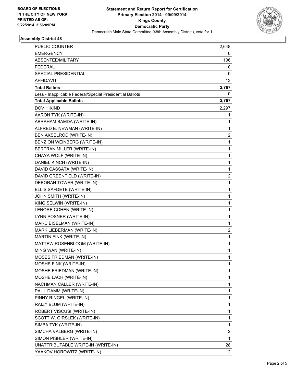

## **Assembly District 48**

| PUBLIC COUNTER                                           | 2,648                   |
|----------------------------------------------------------|-------------------------|
| <b>EMERGENCY</b>                                         | 0                       |
| ABSENTEE/MILITARY                                        | 106                     |
| <b>FEDERAL</b>                                           | 0                       |
| SPECIAL PRESIDENTIAL                                     | 0                       |
| AFFIDAVIT                                                | 13                      |
| <b>Total Ballots</b>                                     | 2,767                   |
| Less - Inapplicable Federal/Special Presidential Ballots | 0                       |
| <b>Total Applicable Ballots</b>                          | 2,767                   |
| <b>DOV HIKIND</b>                                        | 2,297                   |
| AARON TYK (WRITE-IN)                                     | 1                       |
| ABRAHAM BAMDA (WRITE-IN)                                 | 1                       |
| ALFRED E. NEWMAN (WRITE-IN)                              | 1                       |
| BEN AKSELROD (WRITE-IN)                                  | $\overline{\mathbf{c}}$ |
| BENZION WEINBERG (WRITE-IN)                              | $\mathbf 1$             |
| BERTRAN MILLER (WRITE-IN)                                | 1                       |
| CHAYA WOLF (WRITE-IN)                                    | 1                       |
| DANIEL KINCH (WRITE-IN)                                  | 1                       |
| DAVID CASSATA (WRITE-IN)                                 | 1                       |
| DAVID GREENFIELD (WRITE-IN)                              | $\overline{\mathbf{c}}$ |
| DEBORAH TOWER (WRITE-IN)                                 | $\mathbf 1$             |
| ELLIS SAFDETE (WRITE-IN)                                 | 1                       |
| JOHN SMITH (WRITE-IN)                                    | 1                       |
| KING SELWIN (WRITE-IN)                                   | 1                       |
| LENORE COHEN (WRITE-IN)                                  | 1                       |
| LYNN POSNER (WRITE-IN)                                   | 1                       |
| MARC EISELMAN (WRITE-IN)                                 | 1                       |
| MARK LIEBERMAN (WRITE-IN)                                | 2                       |
| MARTIN FINK (WRITE-IN)                                   | 1                       |
| MATTEW ROSENBLOOM (WRITE-IN)                             | $\mathbf 1$             |
| MING WAN (WRITE-IN)                                      | 1                       |
| MOSES FRIEDMAN (WRITE-IN)                                | 1                       |
| MOSHE FINK (WRITE-IN)                                    | 1                       |
| MOSHE FRIEDMAN (WRITE-IN)                                | 1                       |
| MOSHE LACH (WRITE-IN)                                    | 1                       |
| NACHMAN CALLER (WRITE-IN)                                | 1                       |
| PAUL DAMM (WRITE-IN)                                     | 1                       |
| PINNY RINGEL (WRITE-IN)                                  | 1                       |
| RAIZY BLUM (WRITE-IN)                                    | 1                       |
| ROBERT VISCUSI (WRITE-IN)                                | 1                       |
| SCOTT W. GIRSLEK (WRITE-IN)                              | 1                       |
| SIMBA TYK (WRITE-IN)                                     | 1                       |
| SIMCHA VALBERG (WRITE-IN)                                | 2                       |
| SIMON PISHLER (WRITE-IN)                                 | 1                       |
| UNATTRIBUTABLE WRITE-IN (WRITE-IN)                       | 28                      |
| YAAKOV HOROWITZ (WRITE-IN)                               | 2                       |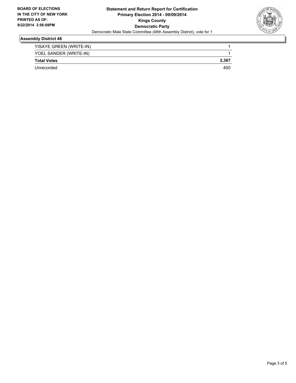

#### **Assembly District 48**

| YISAYE GREEN (WRITE-IN) |       |
|-------------------------|-------|
| YOEL SANDER (WRITE-IN)  |       |
| <b>Total Votes</b>      | 2,367 |
| Unrecorded              | 400   |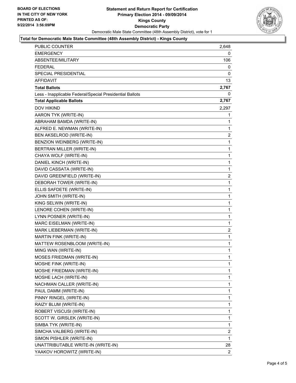

#### **Total for Democratic Male State Committee (48th Assembly District) - Kings County**

| <b>EMERGENCY</b><br>0<br>ABSENTEE/MILITARY<br>106<br>FEDERAL<br>0<br><b>SPECIAL PRESIDENTIAL</b><br>0<br>AFFIDAVIT<br>13<br><b>Total Ballots</b><br>2,767<br>Less - Inapplicable Federal/Special Presidential Ballots<br>0<br><b>Total Applicable Ballots</b><br>2,767<br><b>DOV HIKIND</b><br>2,297<br>AARON TYK (WRITE-IN)<br>1<br>ABRAHAM BAMDA (WRITE-IN)<br>1<br>ALFRED E. NEWMAN (WRITE-IN)<br>1<br>BEN AKSELROD (WRITE-IN)<br>$\overline{2}$<br>BENZION WEINBERG (WRITE-IN)<br>1<br>BERTRAN MILLER (WRITE-IN)<br>1<br>CHAYA WOLF (WRITE-IN)<br>1<br>DANIEL KINCH (WRITE-IN)<br>1<br>DAVID CASSATA (WRITE-IN)<br>1<br>DAVID GREENFIELD (WRITE-IN)<br>$\overline{2}$<br>DEBORAH TOWER (WRITE-IN)<br>1<br>1<br>ELLIS SAFDETE (WRITE-IN)<br>JOHN SMITH (WRITE-IN)<br>1<br>KING SELWIN (WRITE-IN)<br>1<br>1<br>LENORE COHEN (WRITE-IN)<br>LYNN POSNER (WRITE-IN)<br>1<br>MARC EISELMAN (WRITE-IN)<br>1<br>$\overline{2}$<br>MARK LIEBERMAN (WRITE-IN)<br>MARTIN FINK (WRITE-IN)<br>1<br>MATTEW ROSENBLOOM (WRITE-IN)<br>1<br>1<br>MING WAN (WRITE-IN)<br><b>MOSES FRIEDMAN (WRITE-IN)</b><br>1<br>MOSHE FINK (WRITE-IN)<br>1<br>MOSHE FRIEDMAN (WRITE-IN)<br>1<br>MOSHE LACH (WRITE-IN)<br>1<br>1<br>NACHMAN CALLER (WRITE-IN)<br>1<br>PAUL DAMM (WRITE-IN)<br>PINNY RINGEL (WRITE-IN)<br>1<br>RAIZY BLUM (WRITE-IN)<br>1<br>ROBERT VISCUSI (WRITE-IN)<br>1<br>SCOTT W. GIRSLEK (WRITE-IN)<br>1<br>1<br>SIMBA TYK (WRITE-IN) | PUBLIC COUNTER                     | 2,648          |
|--------------------------------------------------------------------------------------------------------------------------------------------------------------------------------------------------------------------------------------------------------------------------------------------------------------------------------------------------------------------------------------------------------------------------------------------------------------------------------------------------------------------------------------------------------------------------------------------------------------------------------------------------------------------------------------------------------------------------------------------------------------------------------------------------------------------------------------------------------------------------------------------------------------------------------------------------------------------------------------------------------------------------------------------------------------------------------------------------------------------------------------------------------------------------------------------------------------------------------------------------------------------------------------------------------------------------------------------------------------------------------------------------------------------------------|------------------------------------|----------------|
|                                                                                                                                                                                                                                                                                                                                                                                                                                                                                                                                                                                                                                                                                                                                                                                                                                                                                                                                                                                                                                                                                                                                                                                                                                                                                                                                                                                                                                |                                    |                |
|                                                                                                                                                                                                                                                                                                                                                                                                                                                                                                                                                                                                                                                                                                                                                                                                                                                                                                                                                                                                                                                                                                                                                                                                                                                                                                                                                                                                                                |                                    |                |
|                                                                                                                                                                                                                                                                                                                                                                                                                                                                                                                                                                                                                                                                                                                                                                                                                                                                                                                                                                                                                                                                                                                                                                                                                                                                                                                                                                                                                                |                                    |                |
|                                                                                                                                                                                                                                                                                                                                                                                                                                                                                                                                                                                                                                                                                                                                                                                                                                                                                                                                                                                                                                                                                                                                                                                                                                                                                                                                                                                                                                |                                    |                |
|                                                                                                                                                                                                                                                                                                                                                                                                                                                                                                                                                                                                                                                                                                                                                                                                                                                                                                                                                                                                                                                                                                                                                                                                                                                                                                                                                                                                                                |                                    |                |
|                                                                                                                                                                                                                                                                                                                                                                                                                                                                                                                                                                                                                                                                                                                                                                                                                                                                                                                                                                                                                                                                                                                                                                                                                                                                                                                                                                                                                                |                                    |                |
|                                                                                                                                                                                                                                                                                                                                                                                                                                                                                                                                                                                                                                                                                                                                                                                                                                                                                                                                                                                                                                                                                                                                                                                                                                                                                                                                                                                                                                |                                    |                |
|                                                                                                                                                                                                                                                                                                                                                                                                                                                                                                                                                                                                                                                                                                                                                                                                                                                                                                                                                                                                                                                                                                                                                                                                                                                                                                                                                                                                                                |                                    |                |
|                                                                                                                                                                                                                                                                                                                                                                                                                                                                                                                                                                                                                                                                                                                                                                                                                                                                                                                                                                                                                                                                                                                                                                                                                                                                                                                                                                                                                                |                                    |                |
|                                                                                                                                                                                                                                                                                                                                                                                                                                                                                                                                                                                                                                                                                                                                                                                                                                                                                                                                                                                                                                                                                                                                                                                                                                                                                                                                                                                                                                |                                    |                |
|                                                                                                                                                                                                                                                                                                                                                                                                                                                                                                                                                                                                                                                                                                                                                                                                                                                                                                                                                                                                                                                                                                                                                                                                                                                                                                                                                                                                                                |                                    |                |
|                                                                                                                                                                                                                                                                                                                                                                                                                                                                                                                                                                                                                                                                                                                                                                                                                                                                                                                                                                                                                                                                                                                                                                                                                                                                                                                                                                                                                                |                                    |                |
|                                                                                                                                                                                                                                                                                                                                                                                                                                                                                                                                                                                                                                                                                                                                                                                                                                                                                                                                                                                                                                                                                                                                                                                                                                                                                                                                                                                                                                |                                    |                |
|                                                                                                                                                                                                                                                                                                                                                                                                                                                                                                                                                                                                                                                                                                                                                                                                                                                                                                                                                                                                                                                                                                                                                                                                                                                                                                                                                                                                                                |                                    |                |
|                                                                                                                                                                                                                                                                                                                                                                                                                                                                                                                                                                                                                                                                                                                                                                                                                                                                                                                                                                                                                                                                                                                                                                                                                                                                                                                                                                                                                                |                                    |                |
|                                                                                                                                                                                                                                                                                                                                                                                                                                                                                                                                                                                                                                                                                                                                                                                                                                                                                                                                                                                                                                                                                                                                                                                                                                                                                                                                                                                                                                |                                    |                |
|                                                                                                                                                                                                                                                                                                                                                                                                                                                                                                                                                                                                                                                                                                                                                                                                                                                                                                                                                                                                                                                                                                                                                                                                                                                                                                                                                                                                                                |                                    |                |
|                                                                                                                                                                                                                                                                                                                                                                                                                                                                                                                                                                                                                                                                                                                                                                                                                                                                                                                                                                                                                                                                                                                                                                                                                                                                                                                                                                                                                                |                                    |                |
|                                                                                                                                                                                                                                                                                                                                                                                                                                                                                                                                                                                                                                                                                                                                                                                                                                                                                                                                                                                                                                                                                                                                                                                                                                                                                                                                                                                                                                |                                    |                |
|                                                                                                                                                                                                                                                                                                                                                                                                                                                                                                                                                                                                                                                                                                                                                                                                                                                                                                                                                                                                                                                                                                                                                                                                                                                                                                                                                                                                                                |                                    |                |
|                                                                                                                                                                                                                                                                                                                                                                                                                                                                                                                                                                                                                                                                                                                                                                                                                                                                                                                                                                                                                                                                                                                                                                                                                                                                                                                                                                                                                                |                                    |                |
|                                                                                                                                                                                                                                                                                                                                                                                                                                                                                                                                                                                                                                                                                                                                                                                                                                                                                                                                                                                                                                                                                                                                                                                                                                                                                                                                                                                                                                |                                    |                |
|                                                                                                                                                                                                                                                                                                                                                                                                                                                                                                                                                                                                                                                                                                                                                                                                                                                                                                                                                                                                                                                                                                                                                                                                                                                                                                                                                                                                                                |                                    |                |
|                                                                                                                                                                                                                                                                                                                                                                                                                                                                                                                                                                                                                                                                                                                                                                                                                                                                                                                                                                                                                                                                                                                                                                                                                                                                                                                                                                                                                                |                                    |                |
|                                                                                                                                                                                                                                                                                                                                                                                                                                                                                                                                                                                                                                                                                                                                                                                                                                                                                                                                                                                                                                                                                                                                                                                                                                                                                                                                                                                                                                |                                    |                |
|                                                                                                                                                                                                                                                                                                                                                                                                                                                                                                                                                                                                                                                                                                                                                                                                                                                                                                                                                                                                                                                                                                                                                                                                                                                                                                                                                                                                                                |                                    |                |
|                                                                                                                                                                                                                                                                                                                                                                                                                                                                                                                                                                                                                                                                                                                                                                                                                                                                                                                                                                                                                                                                                                                                                                                                                                                                                                                                                                                                                                |                                    |                |
|                                                                                                                                                                                                                                                                                                                                                                                                                                                                                                                                                                                                                                                                                                                                                                                                                                                                                                                                                                                                                                                                                                                                                                                                                                                                                                                                                                                                                                |                                    |                |
|                                                                                                                                                                                                                                                                                                                                                                                                                                                                                                                                                                                                                                                                                                                                                                                                                                                                                                                                                                                                                                                                                                                                                                                                                                                                                                                                                                                                                                |                                    |                |
|                                                                                                                                                                                                                                                                                                                                                                                                                                                                                                                                                                                                                                                                                                                                                                                                                                                                                                                                                                                                                                                                                                                                                                                                                                                                                                                                                                                                                                |                                    |                |
|                                                                                                                                                                                                                                                                                                                                                                                                                                                                                                                                                                                                                                                                                                                                                                                                                                                                                                                                                                                                                                                                                                                                                                                                                                                                                                                                                                                                                                |                                    |                |
|                                                                                                                                                                                                                                                                                                                                                                                                                                                                                                                                                                                                                                                                                                                                                                                                                                                                                                                                                                                                                                                                                                                                                                                                                                                                                                                                                                                                                                |                                    |                |
|                                                                                                                                                                                                                                                                                                                                                                                                                                                                                                                                                                                                                                                                                                                                                                                                                                                                                                                                                                                                                                                                                                                                                                                                                                                                                                                                                                                                                                |                                    |                |
|                                                                                                                                                                                                                                                                                                                                                                                                                                                                                                                                                                                                                                                                                                                                                                                                                                                                                                                                                                                                                                                                                                                                                                                                                                                                                                                                                                                                                                |                                    |                |
|                                                                                                                                                                                                                                                                                                                                                                                                                                                                                                                                                                                                                                                                                                                                                                                                                                                                                                                                                                                                                                                                                                                                                                                                                                                                                                                                                                                                                                |                                    |                |
|                                                                                                                                                                                                                                                                                                                                                                                                                                                                                                                                                                                                                                                                                                                                                                                                                                                                                                                                                                                                                                                                                                                                                                                                                                                                                                                                                                                                                                |                                    |                |
|                                                                                                                                                                                                                                                                                                                                                                                                                                                                                                                                                                                                                                                                                                                                                                                                                                                                                                                                                                                                                                                                                                                                                                                                                                                                                                                                                                                                                                |                                    |                |
|                                                                                                                                                                                                                                                                                                                                                                                                                                                                                                                                                                                                                                                                                                                                                                                                                                                                                                                                                                                                                                                                                                                                                                                                                                                                                                                                                                                                                                |                                    |                |
|                                                                                                                                                                                                                                                                                                                                                                                                                                                                                                                                                                                                                                                                                                                                                                                                                                                                                                                                                                                                                                                                                                                                                                                                                                                                                                                                                                                                                                |                                    |                |
|                                                                                                                                                                                                                                                                                                                                                                                                                                                                                                                                                                                                                                                                                                                                                                                                                                                                                                                                                                                                                                                                                                                                                                                                                                                                                                                                                                                                                                |                                    |                |
|                                                                                                                                                                                                                                                                                                                                                                                                                                                                                                                                                                                                                                                                                                                                                                                                                                                                                                                                                                                                                                                                                                                                                                                                                                                                                                                                                                                                                                |                                    |                |
| 2<br>SIMCHA VALBERG (WRITE-IN)                                                                                                                                                                                                                                                                                                                                                                                                                                                                                                                                                                                                                                                                                                                                                                                                                                                                                                                                                                                                                                                                                                                                                                                                                                                                                                                                                                                                 |                                    |                |
| SIMON PISHLER (WRITE-IN)<br>1                                                                                                                                                                                                                                                                                                                                                                                                                                                                                                                                                                                                                                                                                                                                                                                                                                                                                                                                                                                                                                                                                                                                                                                                                                                                                                                                                                                                  |                                    |                |
|                                                                                                                                                                                                                                                                                                                                                                                                                                                                                                                                                                                                                                                                                                                                                                                                                                                                                                                                                                                                                                                                                                                                                                                                                                                                                                                                                                                                                                | UNATTRIBUTABLE WRITE-IN (WRITE-IN) | 28             |
|                                                                                                                                                                                                                                                                                                                                                                                                                                                                                                                                                                                                                                                                                                                                                                                                                                                                                                                                                                                                                                                                                                                                                                                                                                                                                                                                                                                                                                | YAAKOV HOROWITZ (WRITE-IN)         | $\overline{2}$ |
|                                                                                                                                                                                                                                                                                                                                                                                                                                                                                                                                                                                                                                                                                                                                                                                                                                                                                                                                                                                                                                                                                                                                                                                                                                                                                                                                                                                                                                |                                    |                |
|                                                                                                                                                                                                                                                                                                                                                                                                                                                                                                                                                                                                                                                                                                                                                                                                                                                                                                                                                                                                                                                                                                                                                                                                                                                                                                                                                                                                                                |                                    |                |